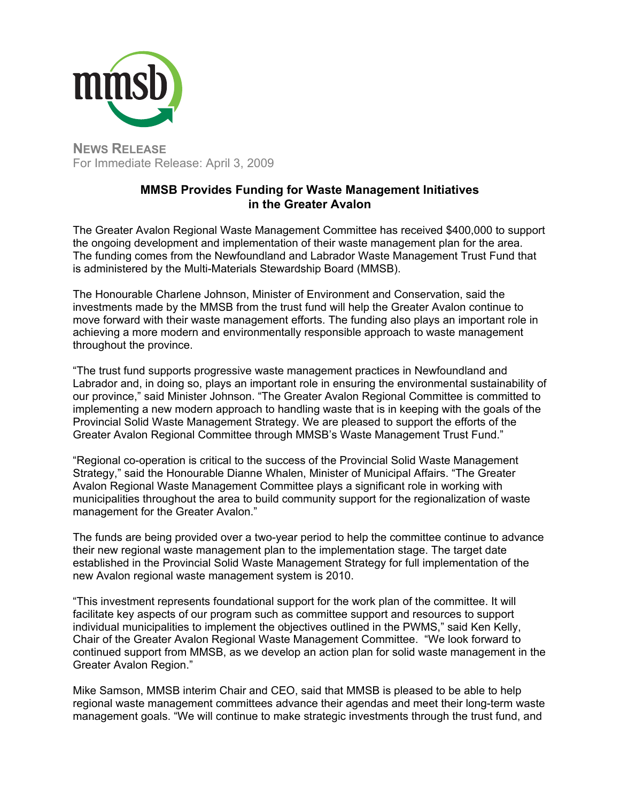

## **MMSB Provides Funding for Waste Management Initiatives in the Greater Avalon**

The Greater Avalon Regional Waste Management Committee has received \$400,000 to support the ongoing development and implementation of their waste management plan for the area. The funding comes from the Newfoundland and Labrador Waste Management Trust Fund that is administered by the Multi-Materials Stewardship Board (MMSB).

The Honourable Charlene Johnson, Minister of Environment and Conservation, said the investments made by the MMSB from the trust fund will help the Greater Avalon continue to move forward with their waste management efforts. The funding also plays an important role in achieving a more modern and environmentally responsible approach to waste management throughout the province.

"The trust fund supports progressive waste management practices in Newfoundland and Labrador and, in doing so, plays an important role in ensuring the environmental sustainability of our province," said Minister Johnson. "The Greater Avalon Regional Committee is committed to implementing a new modern approach to handling waste that is in keeping with the goals of the Provincial Solid Waste Management Strategy. We are pleased to support the efforts of the Greater Avalon Regional Committee through MMSB's Waste Management Trust Fund."

"Regional co-operation is critical to the success of the Provincial Solid Waste Management Strategy," said the Honourable Dianne Whalen, Minister of Municipal Affairs. "The Greater Avalon Regional Waste Management Committee plays a significant role in working with municipalities throughout the area to build community support for the regionalization of waste management for the Greater Avalon."

The funds are being provided over a two-year period to help the committee continue to advance their new regional waste management plan to the implementation stage. The target date established in the Provincial Solid Waste Management Strategy for full implementation of the new Avalon regional waste management system is 2010.

"This investment represents foundational support for the work plan of the committee. It will facilitate key aspects of our program such as committee support and resources to support individual municipalities to implement the objectives outlined in the PWMS," said Ken Kelly, Chair of the Greater Avalon Regional Waste Management Committee. "We look forward to continued support from MMSB, as we develop an action plan for solid waste management in the Greater Avalon Region."

Mike Samson, MMSB interim Chair and CEO, said that MMSB is pleased to be able to help regional waste management committees advance their agendas and meet their long-term waste management goals. "We will continue to make strategic investments through the trust fund, and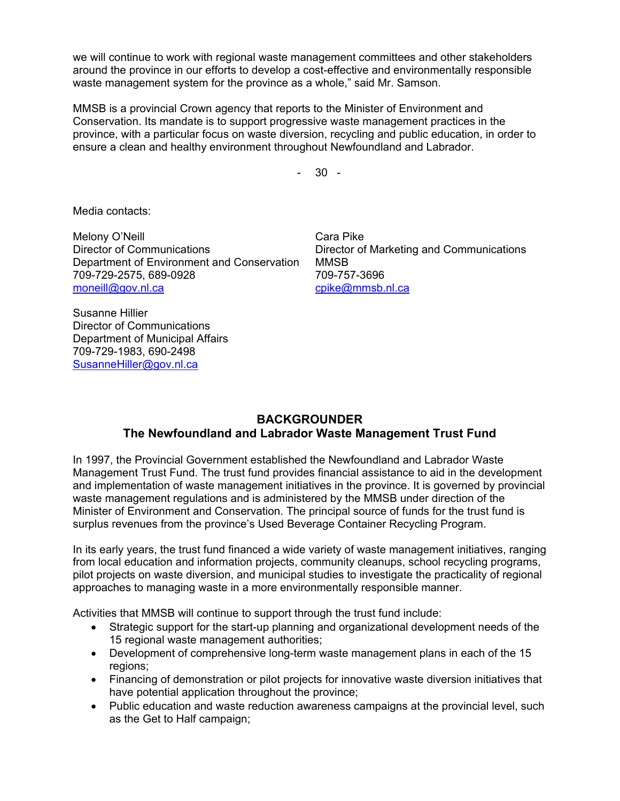we will continue to work with regional waste management committees and other stakeholders around the province in our efforts to develop a cost-effective and environmentally responsible waste management system for the province as a whole," said Mr. Samson.

MMSB is a provincial Crown agency that reports to the Minister of Environment and Conservation. Its mandate is to support progressive waste management practices in the province, with a particular focus on waste diversion, recycling and public education, in order to ensure a clean and healthy environment throughout Newfoundland and Labrador.

- 30 -

Media contacts:

Melony O'Neill Director of Communications Department of Environment and Conservation 709-729-2575, 689-0928 moneill@gov.nl.ca

Cara Pike Director of Marketing and Communications MMSB 709-757-3696 cpike@mmsb.nl.ca

Susanne Hillier Director of Communications Department of Municipal Affairs 709-729-1983, 690-2498 SusanneHiller@gov.nl.ca

## **BACKGROUNDER The Newfoundland and Labrador Waste Management Trust Fund**

In 1997, the Provincial Government established the Newfoundland and Labrador Waste Management Trust Fund. The trust fund provides financial assistance to aid in the development and implementation of waste management initiatives in the province. It is governed by provincial waste management regulations and is administered by the MMSB under direction of the Minister of Environment and Conservation. The principal source of funds for the trust fund is surplus revenues from the province's Used Beverage Container Recycling Program.

In its early years, the trust fund financed a wide variety of waste management initiatives, ranging from local education and information projects, community cleanups, school recycling programs, pilot projects on waste diversion, and municipal studies to investigate the practicality of regional approaches to managing waste in a more environmentally responsible manner.

Activities that MMSB will continue to support through the trust fund include:

- Strategic support for the start-up planning and organizational development needs of the 15 regional waste management authorities;
- Development of comprehensive long-term waste management plans in each of the 15 regions;
- Financing of demonstration or pilot projects for innovative waste diversion initiatives that have potential application throughout the province;
- Public education and waste reduction awareness campaigns at the provincial level, such as the Get to Half campaign;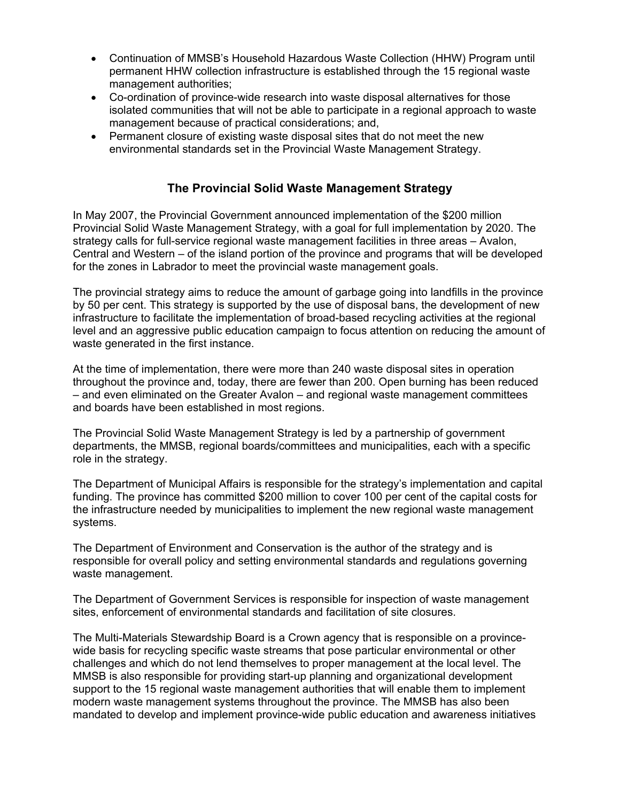- Continuation of MMSB's Household Hazardous Waste Collection (HHW) Program until permanent HHW collection infrastructure is established through the 15 regional waste management authorities;
- Co-ordination of province-wide research into waste disposal alternatives for those isolated communities that will not be able to participate in a regional approach to waste management because of practical considerations; and,
- Permanent closure of existing waste disposal sites that do not meet the new environmental standards set in the Provincial Waste Management Strategy.

## **The Provincial Solid Waste Management Strategy**

In May 2007, the Provincial Government announced implementation of the \$200 million Provincial Solid Waste Management Strategy, with a goal for full implementation by 2020. The strategy calls for full-service regional waste management facilities in three areas – Avalon, Central and Western – of the island portion of the province and programs that will be developed for the zones in Labrador to meet the provincial waste management goals.

The provincial strategy aims to reduce the amount of garbage going into landfills in the province by 50 per cent. This strategy is supported by the use of disposal bans, the development of new infrastructure to facilitate the implementation of broad-based recycling activities at the regional level and an aggressive public education campaign to focus attention on reducing the amount of waste generated in the first instance.

At the time of implementation, there were more than 240 waste disposal sites in operation throughout the province and, today, there are fewer than 200. Open burning has been reduced – and even eliminated on the Greater Avalon – and regional waste management committees and boards have been established in most regions.

The Provincial Solid Waste Management Strategy is led by a partnership of government departments, the MMSB, regional boards/committees and municipalities, each with a specific role in the strategy.

The Department of Municipal Affairs is responsible for the strategy's implementation and capital funding. The province has committed \$200 million to cover 100 per cent of the capital costs for the infrastructure needed by municipalities to implement the new regional waste management systems.

The Department of Environment and Conservation is the author of the strategy and is responsible for overall policy and setting environmental standards and regulations governing waste management.

The Department of Government Services is responsible for inspection of waste management sites, enforcement of environmental standards and facilitation of site closures.

The Multi-Materials Stewardship Board is a Crown agency that is responsible on a provincewide basis for recycling specific waste streams that pose particular environmental or other challenges and which do not lend themselves to proper management at the local level. The MMSB is also responsible for providing start-up planning and organizational development support to the 15 regional waste management authorities that will enable them to implement modern waste management systems throughout the province. The MMSB has also been mandated to develop and implement province-wide public education and awareness initiatives